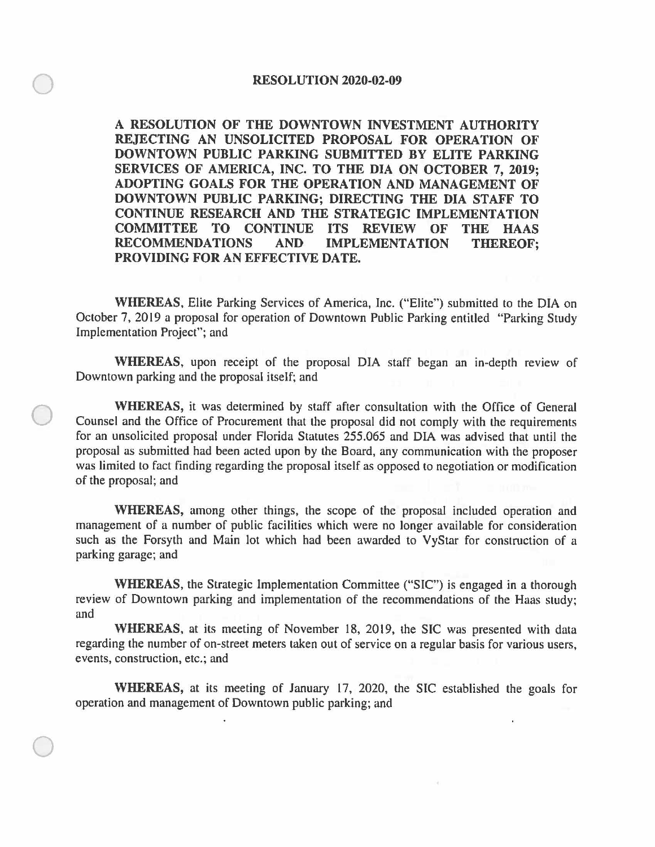$\bigcirc$ 

 $\bigcirc$ 

 $\bigcirc$ 

**A RESOLUTION OF THE DOWNTOWN INVESTMENT AUTHORITY REJECTING AN UNSOLICITED PROPOSAL FOR OPERATION OF DOWNTOWN PUBLIC PARKING SUBMITTED BY ELITE PARKING SERVICES OF AMERICA, INC. TO THE DIA ON OCTOBER 7, 2019; ADOPTING GOALS FOR THE OPERATION AND MANAGEMENT OF DOWNTOWN PUBLIC PARKING; DIRECTING THE DIA STAFF TO CONTINUE RESEARCH AND THE STRATEGIC IMPLEMENTATION COMMITTEE TO CONTINUE ITS REVIEW OF THE HAAS RECOMMENDATIONS AND IMPLEMENTATION THEREOF; PROVIDING FOR AN EFFECTIVE DATE.** 

**WHEREAS,** Elite Parking Services of America, Inc. ("Elite") submitted to the DIA on October 7, 2019 a proposal for operation of Downtown Public Parking entitled "Parking Study Implementation Project"; and

**WHEREAS,** upon receipt of the proposal DIA staff began an in-depth review of Downtown parking and the proposal itself; and

**WHEREAS,** it was determined by staff after consultation with the Office of General Counsel and the Office of Procurement that the proposal did not comply with the requirements for an unsolicited proposal under Florida Statutes 255.065 and DIA was advised that until the proposal as submitted had been acted upon by the Board, any communication with the proposer was limited to fact finding regarding the proposal itself as opposed to negotiation or modification of the proposal; and

**WHEREAS,** among other things, the scope of the proposal included operation and management of a number of public facilities which were no longer available for consideration such as the Forsyth and Main lot which had been awarded to VyStar for construction of a parking garage; and

**WHEREAS,** the Strategic Implementation Committee ("SIC") is engaged in a thorough review of Downtown parking and implementation of the recommendations of the Haas study; and

**WHEREAS,** at its meeting of November 18, 2019, the SIC was presented with data regarding the number of on-street meters taken out of service on a regular basis for various users, events, construction, etc.; and

**WHEREAS,** at its meeting of January 17, 2020, the SIC established the goals for operation and management of Downtown public parking; and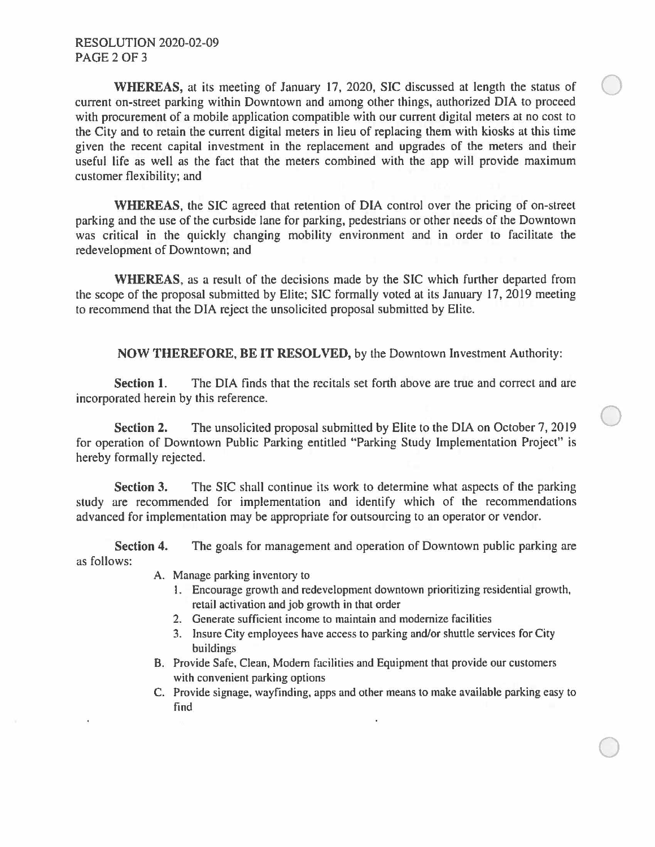WHEREAS, at its meeting of January 17, 2020, SIC discussed at length the status of current on-street parking within Downtown and among other things, authorized DIA to proceed with procurement of a mobile application compatible with our current digital meters at no cost to the City and to retain the current digital meters in lieu of replacing them with kiosks at this time given the recent capital investment in the replacement and upgrades of the meters and their useful life as well as the fact that the meters combined with the app will provide maximum customer flexibility; and

**WHEREAS,** the SIC agreed that retention of DIA control over the pricing of on-street parking and the use of the curbside lane for parking, pedestrians or other needs of the Downtown was critical in the quickly changing mobility environment and in order to facilitate the redevelopment of Downtown; and

**WHEREAS,** as a result of the decisions made by the SIC which further departed from the scope of the proposal submitted by Elite; SIC formally voted at its January 17, 2019 meeting to recommend that the DIA reject the unsolicited proposal submitted by Elite.

**NOW THEREFORE, BE IT RESOLVED,** by the Downtown Investment Authority:

**Section 1.** The DIA finds that the recitals set forth above are true and correct and are incorporated herein by this reference.

**Section 2.** The unsolicited proposal submitted by Elite to the DIA on October 7, 2019 for operation of Downtown Public Parking entitled "Parking Study Implementation Project" is hereby formally rejected.

**Section 3.** The SIC shall continue its work to determine what aspects of the parking study are recommended for implementation and identify which of the recommendations advanced for implementation may be appropriate for outsourcing to an operator or vendor.

**Section 4.** The goals for management and operation of Downtown public parking are as follows:

- A. Manage parking inventory to
	- I. Encourage growth and redevelopment downtown prioritizing residential growth, retail activation and job growth in that order

 $\bigcirc$ 

 $\bigcirc$ 

- 2. Generate sufficient income to maintain and modernize facilities
- 3. Insure City employees have access to parking and/or shuttle services for City buildings
- B. Provide Safe, Clean, Modem facilities and Equipment that provide our customers with convenient parking options
- C. Provide signage, wayfinding, apps and other means to make available parking easy to find